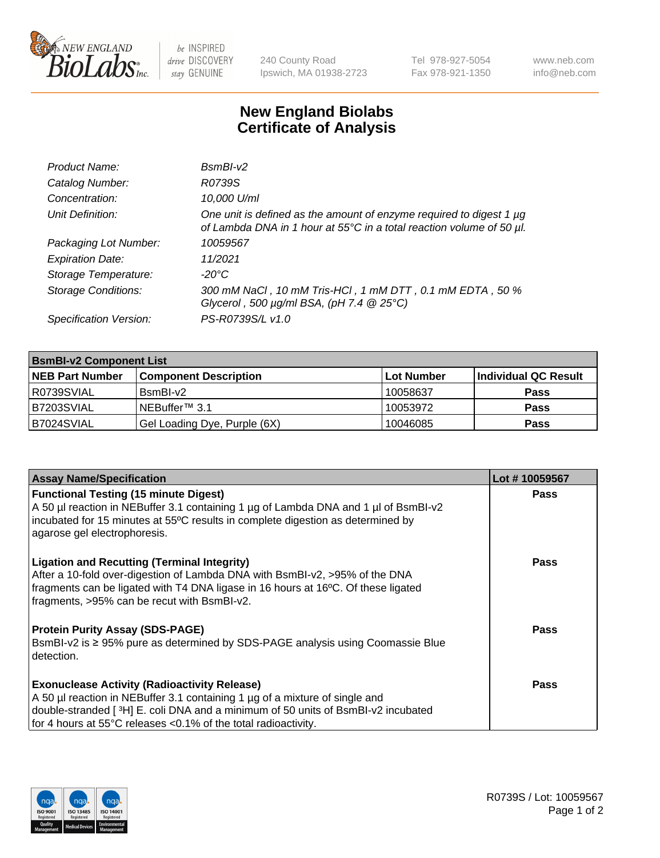

 $be$  INSPIRED drive DISCOVERY stay GENUINE

240 County Road Ipswich, MA 01938-2723 Tel 978-927-5054 Fax 978-921-1350 www.neb.com info@neb.com

## **New England Biolabs Certificate of Analysis**

| Product Name:              | $BsmBI-v2$                                                                                                                                  |
|----------------------------|---------------------------------------------------------------------------------------------------------------------------------------------|
| Catalog Number:            | R0739S                                                                                                                                      |
| Concentration:             | 10,000 U/ml                                                                                                                                 |
| Unit Definition:           | One unit is defined as the amount of enzyme required to digest 1 µg<br>of Lambda DNA in 1 hour at 55°C in a total reaction volume of 50 µl. |
| Packaging Lot Number:      | 10059567                                                                                                                                    |
| <b>Expiration Date:</b>    | 11/2021                                                                                                                                     |
| Storage Temperature:       | $-20^{\circ}$ C                                                                                                                             |
| <b>Storage Conditions:</b> | 300 mM NaCl, 10 mM Tris-HCl, 1 mM DTT, 0.1 mM EDTA, 50 %<br>Glycerol, 500 $\mu$ g/ml BSA, (pH 7.4 $@25°C$ )                                 |
| Specification Version:     | PS-R0739S/L v1.0                                                                                                                            |

| <b>BsmBI-v2 Component List</b> |                              |            |                      |  |  |
|--------------------------------|------------------------------|------------|----------------------|--|--|
| <b>NEB Part Number</b>         | <b>Component Description</b> | Lot Number | Individual QC Result |  |  |
| I R0739SVIAL                   | BsmBI-v2                     | 10058637   | <b>Pass</b>          |  |  |
| B7203SVIAL                     | INEBuffer™ 3.1               | 10053972   | <b>Pass</b>          |  |  |
| B7024SVIAL                     | Gel Loading Dye, Purple (6X) | 10046085   | <b>Pass</b>          |  |  |

| <b>Assay Name/Specification</b>                                                                                                                                                                                                                                       | Lot #10059567 |
|-----------------------------------------------------------------------------------------------------------------------------------------------------------------------------------------------------------------------------------------------------------------------|---------------|
| <b>Functional Testing (15 minute Digest)</b>                                                                                                                                                                                                                          | <b>Pass</b>   |
| A 50 µl reaction in NEBuffer 3.1 containing 1 µg of Lambda DNA and 1 µl of BsmBI-v2<br>incubated for 15 minutes at 55°C results in complete digestion as determined by<br>agarose gel electrophoresis.                                                                |               |
| <b>Ligation and Recutting (Terminal Integrity)</b><br>After a 10-fold over-digestion of Lambda DNA with BsmBI-v2, >95% of the DNA<br>fragments can be ligated with T4 DNA ligase in 16 hours at 16°C. Of these ligated<br>fragments, >95% can be recut with BsmBI-v2. | Pass          |
| <b>Protein Purity Assay (SDS-PAGE)</b>                                                                                                                                                                                                                                | <b>Pass</b>   |
| BsmBI-v2 is ≥ 95% pure as determined by SDS-PAGE analysis using Coomassie Blue<br>detection.                                                                                                                                                                          |               |
| <b>Exonuclease Activity (Radioactivity Release)</b>                                                                                                                                                                                                                   | Pass          |
| A 50 µl reaction in NEBuffer 3.1 containing 1 µg of a mixture of single and                                                                                                                                                                                           |               |
| double-stranded [3H] E. coli DNA and a minimum of 50 units of BsmBI-v2 incubated                                                                                                                                                                                      |               |
| for 4 hours at 55°C releases <0.1% of the total radioactivity.                                                                                                                                                                                                        |               |